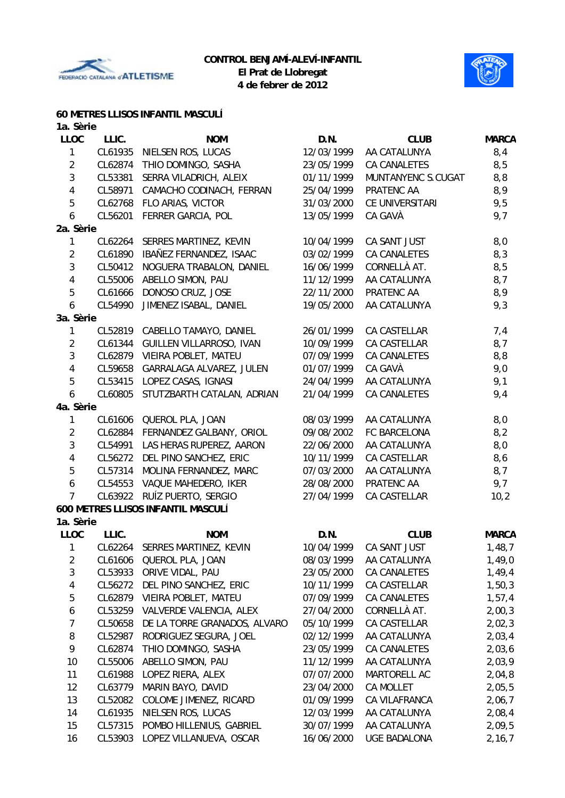



#### **60 METRES LLISOS INFANTIL MASCULÍ**

| 1a. Sèrie               |         |                                    |            |                         |              |
|-------------------------|---------|------------------------------------|------------|-------------------------|--------------|
| <b>LLOC</b>             | LLIC.   | <b>NOM</b>                         | D.N.       | <b>CLUB</b>             | <b>MARCA</b> |
| $\mathbf{1}$            | CL61935 | NIELSEN ROS, LUCAS                 | 12/03/1999 | AA CATALUNYA            | 8,4          |
| $\overline{2}$          | CL62874 | THIO DOMINGO, SASHA                | 23/05/1999 | <b>CA CANALETES</b>     | 8,5          |
| $\mathbf{3}$            | CL53381 | SERRA VILADRICH, ALEIX             | 01/11/1999 | MUNTANYENC S.CUGAT      | 8,8          |
| $\overline{\mathbf{4}}$ | CL58971 | CAMACHO CODINACH, FERRAN           | 25/04/1999 | PRATENC AA              | 8,9          |
| 5                       | CL62768 | FLO ARIAS, VICTOR                  | 31/03/2000 | CE UNIVERSITARI         | 9,5          |
| 6                       | CL56201 | FERRER GARCIA, POL                 | 13/05/1999 | CA GAVÀ                 | 9,7          |
| 2a. Sèrie               |         |                                    |            |                         |              |
| 1                       | CL62264 | SERRES MARTINEZ, KEVIN             | 10/04/1999 | CA SANT JUST            | 8,0          |
| $\overline{2}$          | CL61890 | IBAÑEZ FERNANDEZ, ISAAC            | 03/02/1999 | <b>CA CANALETES</b>     | 8,3          |
| 3                       | CL50412 | NOGUERA TRABALON, DANIEL           | 16/06/1999 | CORNELLÀ AT.            | 8,5          |
| 4                       | CL55006 | ABELLO SIMON, PAU                  | 11/12/1999 | AA CATALUNYA            | 8,7          |
| 5                       | CL61666 | DONOSO CRUZ, JOSE                  | 22/11/2000 | PRATENC AA              | 8,9          |
| 6                       | CL54990 | JIMENEZ ISABAL, DANIEL             | 19/05/2000 | AA CATALUNYA            | 9,3          |
| 3a. Sèrie               |         |                                    |            |                         |              |
| 1                       | CL52819 | CABELLO TAMAYO, DANIEL             | 26/01/1999 | CA CASTELLAR            | 7,4          |
| $\overline{2}$          | CL61344 | GUILLEN VILLARROSO, IVAN           | 10/09/1999 | CA CASTELLAR            | 8,7          |
| 3                       | CL62879 | VIEIRA POBLET, MATEU               | 07/09/1999 | <b>CA CANALETES</b>     | 8,8          |
| 4                       | CL59658 | GARRALAGA ALVAREZ, JULEN           | 01/07/1999 | CA GAVÀ                 | 9,0          |
| 5                       | CL53415 | LOPEZ CASAS, IGNASI                | 24/04/1999 | AA CATALUNYA            | 9,1          |
| 6                       | CL60805 | STUTZBARTH CATALAN, ADRIAN         | 21/04/1999 | <b>CA CANALETES</b>     | 9,4          |
| 4a. Sèrie               |         |                                    |            |                         |              |
| $\mathbf{1}$            | CL61606 | QUEROL PLA, JOAN                   | 08/03/1999 | AA CATALUNYA            | 8,0          |
| $\overline{2}$          | CL62884 | FERNANDEZ GALBANY, ORIOL           | 09/08/2002 | FC BARCELONA            | 8,2          |
| $\mathbf{3}$            | CL54991 | LAS HERAS RUPEREZ, AARON           | 22/06/2000 | AA CATALUNYA            | 8,0          |
| 4                       | CL56272 | DEL PINO SANCHEZ, ERIC             | 10/11/1999 | CA CASTELLAR            | 8,6          |
| 5                       | CL57314 | MOLINA FERNANDEZ, MARC             | 07/03/2000 | AA CATALUNYA            | 8,7          |
| 6                       | CL54553 | VAQUE MAHEDERO, IKER               | 28/08/2000 | PRATENC AA              | 9,7          |
| $\overline{7}$          | CL63922 | RUÍZ PUERTO, SERGIO                | 27/04/1999 | CA CASTELLAR            | 10,2         |
|                         |         | 600 METRES LLISOS INFANTIL MASCULÍ |            |                         |              |
| 1a. Sèrie               |         |                                    |            |                         |              |
| <b>LLOC</b>             | LLIC.   | <b>NOM</b>                         | D.N.       | <b>CLUB</b>             | <b>MARCA</b> |
| 1                       |         | CL62264 SERRES MARTINEZ, KEVIN     |            | 10/04/1999 CA SANT JUST | 1,48,7       |
| $\overline{c}$          | CL61606 | QUEROL PLA, JOAN                   | 08/03/1999 | AA CATALUNYA            | 1,49,0       |
| $\mathbf{3}$            | CL53933 | ORIVE VIDAL, PAU                   | 23/05/2000 | CA CANALETES            | 1,49,4       |
| 4                       | CL56272 | DEL PINO SANCHEZ, ERIC             | 10/11/1999 | CA CASTELLAR            | 1,50,3       |
| 5                       | CL62879 | VIEIRA POBLET, MATEU               | 07/09/1999 | CA CANALETES            | 1,57,4       |
| 6                       | CL53259 | VALVERDE VALENCIA, ALEX            | 27/04/2000 | CORNELLÀ AT.            | 2,00,3       |
| 7                       | CL50658 | DE LA TORRE GRANADOS, ALVARO       | 05/10/1999 | CA CASTELLAR            | 2,02,3       |
| 8                       | CL52987 | RODRIGUEZ SEGURA, JOEL             | 02/12/1999 | AA CATALUNYA            | 2,03,4       |
| 9                       | CL62874 | THIO DOMINGO, SASHA                | 23/05/1999 | CA CANALETES            | 2,03,6       |
| 10                      | CL55006 | ABELLO SIMON, PAU                  | 11/12/1999 | AA CATALUNYA            | 2,03,9       |
| 11                      | CL61988 | LOPEZ RIERA, ALEX                  | 07/07/2000 | MARTORELL AC            | 2,04,8       |
| 12                      | CL63779 | MARIN BAYO, DAVID                  | 23/04/2000 | CA MOLLET               | 2,05,5       |
| 13                      | CL52082 | COLOME JIMENEZ, RICARD             | 01/09/1999 | CA VILAFRANCA           | 2,06,7       |
| 14                      | CL61935 | NIELSEN ROS, LUCAS                 | 12/03/1999 | AA CATALUNYA            | 2,08,4       |
| 15                      | CL57315 | POMBO HILLENIUS, GABRIEL           | 30/07/1999 | AA CATALUNYA            | 2,09,5       |
|                         |         |                                    |            |                         |              |

16 CL53903 LOPEZ VILLANUEVA, OSCAR 16/06/2000 UGE BADALONA 2,16,7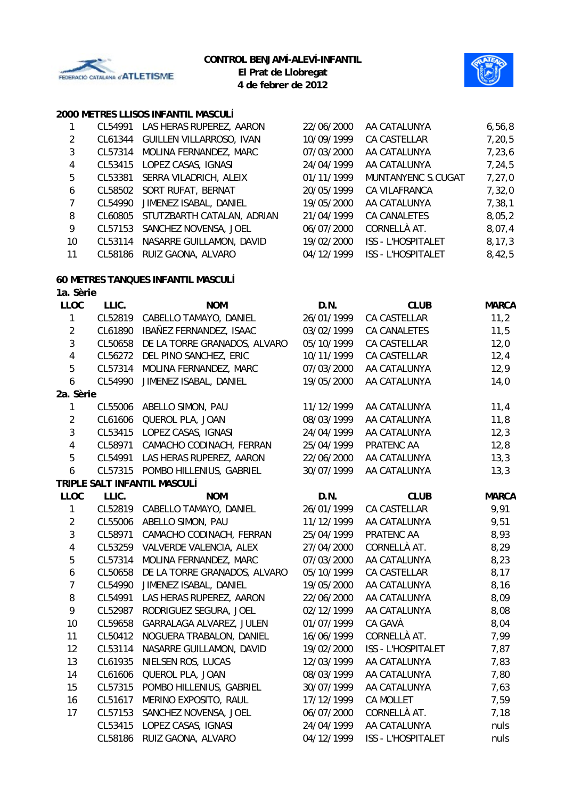



# **2000 METRES LLISOS INFANTIL MASCULÍ**

| 1              | CL54991 | LAS HERAS RUPEREZ, AARON           | 22/06/2000 | AA CATALUNYA              | 6, 56, 8     |
|----------------|---------|------------------------------------|------------|---------------------------|--------------|
| $\overline{2}$ | CL61344 | GUILLEN VILLARROSO, IVAN           | 10/09/1999 | CA CASTELLAR              | 7, 20, 5     |
| 3              | CL57314 | MOLINA FERNANDEZ, MARC             | 07/03/2000 | AA CATALUNYA              | 7,23,6       |
| 4              | CL53415 | LOPEZ CASAS, IGNASI                | 24/04/1999 | AA CATALUNYA              | 7,24,5       |
|                |         |                                    | 01/11/1999 | MUNTANYENC S.CUGAT        |              |
| 5              | CL53381 | SERRA VILADRICH, ALEIX             |            |                           | 7, 27, 0     |
| 6              | CL58502 | SORT RUFAT, BERNAT                 | 20/05/1999 | CA VILAFRANCA             | 7,32,0       |
| $\overline{7}$ | CL54990 | JIMENEZ ISABAL, DANIEL             | 19/05/2000 | AA CATALUNYA              | 7, 38, 1     |
| 8              | CL60805 | STUTZBARTH CATALAN, ADRIAN         | 21/04/1999 | <b>CA CANALETES</b>       | 8,05,2       |
| 9              | CL57153 | SANCHEZ NOVENSA, JOEL              | 06/07/2000 | CORNELLÀ AT.              | 8,07,4       |
| 10             | CL53114 | NASARRE GUILLAMON, DAVID           | 19/02/2000 | ISS - L'HOSPITALET        | 8, 17, 3     |
| 11             | CL58186 | RUIZ GAONA, ALVARO                 | 04/12/1999 | ISS - L'HOSPITALET        | 8,42,5       |
|                |         | 60 METRES TANQUES INFANTIL MASCULÍ |            |                           |              |
| 1a. Sèrie      |         |                                    |            |                           |              |
| <b>LLOC</b>    | LLIC.   | <b>NOM</b>                         | D.N.       | <b>CLUB</b>               | <b>MARCA</b> |
| 1              | CL52819 | CABELLO TAMAYO, DANIEL             | 26/01/1999 | CA CASTELLAR              | 11,2         |
| $\overline{2}$ | CL61890 | IBAÑEZ FERNANDEZ, ISAAC            | 03/02/1999 | <b>CA CANALETES</b>       | 11,5         |
| 3              | CL50658 | DE LA TORRE GRANADOS, ALVARO       | 05/10/1999 | CA CASTELLAR              | 12,0         |
| 4              | CL56272 | DEL PINO SANCHEZ, ERIC             | 10/11/1999 | CA CASTELLAR              | 12,4         |
| 5              | CL57314 | MOLINA FERNANDEZ, MARC             | 07/03/2000 | AA CATALUNYA              | 12,9         |
| 6              | CL54990 | JIMENEZ ISABAL, DANIEL             | 19/05/2000 | AA CATALUNYA              | 14,0         |
| 2a. Sèrie      |         |                                    |            |                           |              |
| 1              | CL55006 | ABELLO SIMON, PAU                  | 11/12/1999 | AA CATALUNYA              | 11,4         |
| $\overline{2}$ | CL61606 | QUEROL PLA, JOAN                   | 08/03/1999 | AA CATALUNYA              | 11,8         |
| 3              | CL53415 | LOPEZ CASAS, IGNASI                | 24/04/1999 | AA CATALUNYA              | 12,3         |
| 4              | CL58971 | CAMACHO CODINACH, FERRAN           | 25/04/1999 | PRATENC AA                | 12,8         |
| 5              | CL54991 | LAS HERAS RUPEREZ, AARON           | 22/06/2000 | AA CATALUNYA              | 13,3         |
| 6              | CL57315 | POMBO HILLENIUS, GABRIEL           | 30/07/1999 | AA CATALUNYA              | 13,3         |
|                |         | TRIPLE SALT INFANTIL MASCULÍ       |            |                           |              |
| <b>LLOC</b>    | LLIC.   | <b>NOM</b>                         | D.N.       | <b>CLUB</b>               | <b>MARCA</b> |
| 1              |         | CL52819 CABELLO TAMAYO, DANIEL     | 26/01/1999 | CA CASTELLAR              | 9,91         |
| $\overline{2}$ | CL55006 | ABELLO SIMON, PAU                  | 11/12/1999 | AA CATALUNYA              | 9,51         |
| 3              | CL58971 | CAMACHO CODINACH, FERRAN           | 25/04/1999 | PRATENC AA                | 8,93         |
| 4              | CL53259 | VALVERDE VALENCIA, ALEX            | 27/04/2000 | CORNELLÀ AT.              | 8,29         |
| 5              | CL57314 | MOLINA FERNANDEZ, MARC             | 07/03/2000 | AA CATALUNYA              | 8,23         |
| 6              | CL50658 | DE LA TORRE GRANADOS, ALVARO       | 05/10/1999 | CA CASTELLAR              | 8,17         |
| 7              | CL54990 | JIMENEZ ISABAL, DANIEL             | 19/05/2000 | AA CATALUNYA              | 8,16         |
| 8              | CL54991 | LAS HERAS RUPEREZ, AARON           | 22/06/2000 | AA CATALUNYA              | 8,09         |
| 9              | CL52987 | RODRIGUEZ SEGURA, JOEL             | 02/12/1999 | AA CATALUNYA              | 8,08         |
| 10             | CL59658 | GARRALAGA ALVAREZ, JULEN           | 01/07/1999 | CA GAVÀ                   | 8,04         |
| 11             | CL50412 | NOGUERA TRABALON, DANIEL           | 16/06/1999 | CORNELLÀ AT.              | 7,99         |
| 12             | CL53114 | NASARRE GUILLAMON, DAVID           | 19/02/2000 | <b>ISS - L'HOSPITALET</b> | 7,87         |
| 13             | CL61935 | NIELSEN ROS, LUCAS                 | 12/03/1999 | AA CATALUNYA              | 7,83         |
| 14             | CL61606 | QUEROL PLA, JOAN                   | 08/03/1999 | AA CATALUNYA              | 7,80         |
| 15             | CL57315 | POMBO HILLENIUS, GABRIEL           | 30/07/1999 | AA CATALUNYA              | 7,63         |
| 16             | CL51617 | MERINO EXPOSITO, RAUL              | 17/12/1999 | CA MOLLET                 | 7,59         |
| 17             | CL57153 | SANCHEZ NOVENSA, JOEL              | 06/07/2000 | CORNELLÀ AT.              | 7,18         |
|                | CL53415 | LOPEZ CASAS, IGNASI                | 24/04/1999 | AA CATALUNYA              | nuls         |
|                | CL58186 | RUIZ GAONA, ALVARO                 | 04/12/1999 | ISS - L'HOSPITALET        | nuls         |
|                |         |                                    |            |                           |              |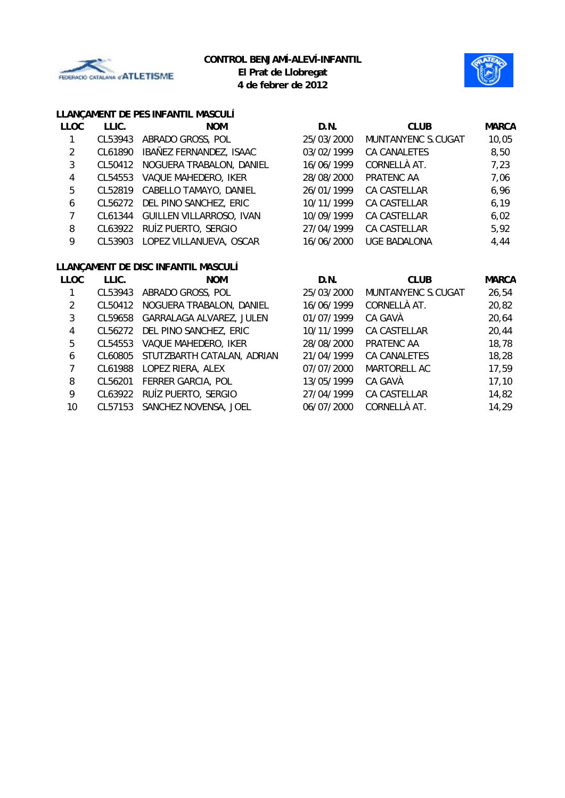



# **LLANÇAMENT DE PES INFANTIL MASCULÍ**

| <b>LLOC</b> | LLIC.   | <b>NOM</b>                       | D.N.       | <b>CLUB</b>         | <b>MARCA</b> |
|-------------|---------|----------------------------------|------------|---------------------|--------------|
|             | CL53943 | ABRADO GROSS, POL                | 25/03/2000 | MUNTANYENC S.CUGAT  | 10,05        |
| 2           | CL61890 | IBAÑEZ FERNANDEZ, ISAAC          | 03/02/1999 | CA CANALETES        | 8,50         |
| 3           | CL50412 | NOGUERA TRABALON, DANIEL         | 16/06/1999 | CORNELLÀ AT.        | 7,23         |
| 4           | CL54553 | VAQUE MAHEDERO, IKER             | 28/08/2000 | PRATENC AA          | 7,06         |
| 5           | CL52819 | CABELLO TAMAYO, DANIEL           | 26/01/1999 | CA CASTELLAR        | 6,96         |
| 6           |         | CL56272 DEL PINO SANCHEZ, ERIC   | 10/11/1999 | CA CASTELLAR        | 6, 19        |
|             |         | CL61344 GUILLEN VILLARROSO, IVAN | 10/09/1999 | CA CASTELLAR        | 6,02         |
| 8           |         | CL63922 RUÍZ PUERTO, SERGIO      | 27/04/1999 | <b>CA CASTELLAR</b> | 5,92         |
| 9           |         | CL53903 LOPEZ VILLANUEVA, OSCAR  | 16/06/2000 | <b>UGE BADALONA</b> | 4,44         |
|             |         |                                  |            |                     |              |

# **LLANÇAMENT DE DISC INFANTIL MASCULÍ**

| <b>LLOC</b> | LLIC.   | <b>NOM</b>                     | D.N.       | <b>CLUB</b>        | <b>MARCA</b> |
|-------------|---------|--------------------------------|------------|--------------------|--------------|
|             | CL53943 | ABRADO GROSS, POL              | 25/03/2000 | MUNTANYENC S.CUGAT | 26,54        |
| 2           | CL50412 | NOGUERA TRABALON, DANIEL       | 16/06/1999 | CORNELLÀ AT.       | 20,82        |
| 3           | CL59658 | GARRALAGA ALVAREZ, JULEN       | 01/07/1999 | CA GAVÀ            | 20,64        |
| 4           |         | CL56272 DEL PINO SANCHEZ, ERIC | 10/11/1999 | CA CASTELLAR       | 20,44        |
| 5           | CL54553 | VAQUE MAHEDERO, IKER           | 28/08/2000 | PRATENC AA         | 18,78        |
| 6           | CL60805 | STUTZBARTH CATALAN, ADRIAN     | 21/04/1999 | CA CANALETES       | 18,28        |
|             | CL61988 | LOPEZ RIERA, ALEX              | 07/07/2000 | MARTORELL AC       | 17,59        |
| 8           | CL56201 | FERRER GARCIA, POL             | 13/05/1999 | CA GAVÀ            | 17, 10       |
| 9           |         | CL63922 RUÍZ PUERTO, SERGIO    | 27/04/1999 | CA CASTELLAR       | 14,82        |
| 10          |         | CL57153 SANCHEZ NOVENSA, JOEL  | 06/07/2000 | CORNELLÀ AT.       | 14,29        |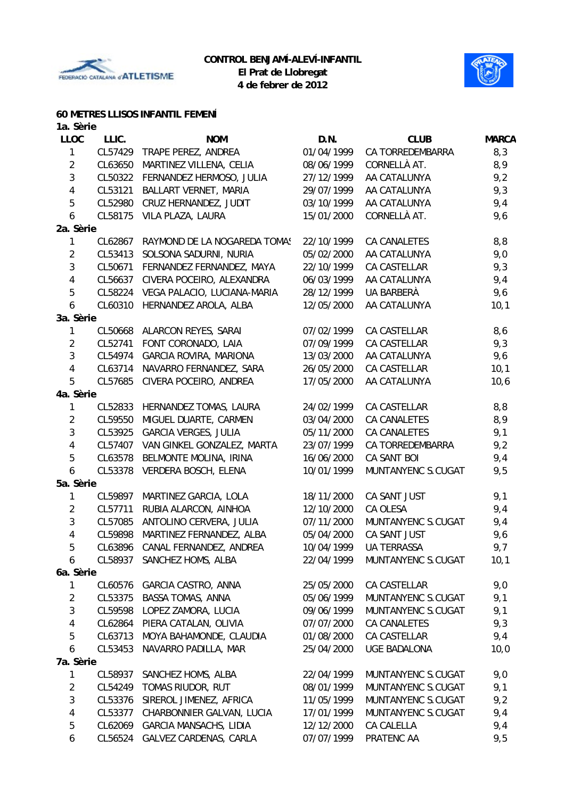



# **60 METRES LLISOS INFANTIL FEMENÍ**

| 1a. Sèrie      |         |                                 |            |                     |              |
|----------------|---------|---------------------------------|------------|---------------------|--------------|
| <b>LLOC</b>    | LLIC.   | <b>NOM</b>                      | D.N.       | <b>CLUB</b>         | <b>MARCA</b> |
| 1              | CL57429 | TRAPE PEREZ, ANDREA             | 01/04/1999 | CA TORREDEMBARRA    | 8,3          |
| $\overline{2}$ | CL63650 | MARTINEZ VILLENA, CELIA         | 08/06/1999 | CORNELLÀ AT.        | 8,9          |
| 3              | CL50322 | FERNANDEZ HERMOSO, JULIA        | 27/12/1999 | AA CATALUNYA        | 9,2          |
| 4              | CL53121 | BALLART VERNET, MARIA           | 29/07/1999 | AA CATALUNYA        | 9,3          |
| 5              | CL52980 | CRUZ HERNANDEZ, JUDIT           | 03/10/1999 | AA CATALUNYA        | 9,4          |
| 6              | CL58175 | VILA PLAZA, LAURA               | 15/01/2000 | CORNELLÀ AT.        | 9,6          |
| 2a. Sèrie      |         |                                 |            |                     |              |
| 1              | CL62867 | RAYMOND DE LA NOGAREDA TOMAS    | 22/10/1999 | CA CANALETES        | 8,8          |
| $\overline{2}$ | CL53413 | SOLSONA SADURNI, NURIA          | 05/02/2000 | AA CATALUNYA        | 9,0          |
| 3              | CL50671 | FERNANDEZ FERNANDEZ, MAYA       | 22/10/1999 | CA CASTELLAR        | 9,3          |
| 4              | CL56637 | CIVERA POCEIRO, ALEXANDRA       | 06/03/1999 | AA CATALUNYA        | 9,4          |
| 5              | CL58224 | VEGA PALACIO, LUCIANA-MARIA     | 28/12/1999 | UA BARBERÀ          | 9,6          |
| 6              | CL60310 | HERNANDEZ AROLA, ALBA           | 12/05/2000 | AA CATALUNYA        | 10,1         |
| 3a. Sèrie      |         |                                 |            |                     |              |
| 1              | CL50668 | ALARCON REYES, SARAI            | 07/02/1999 | CA CASTELLAR        | 8,6          |
| $\overline{2}$ | CL52741 | FONT CORONADO, LAIA             | 07/09/1999 | CA CASTELLAR        | 9,3          |
| 3              | CL54974 | <b>GARCIA ROVIRA, MARIONA</b>   | 13/03/2000 | AA CATALUNYA        | 9,6          |
| $\overline{4}$ | CL63714 | NAVARRO FERNANDEZ, SARA         | 26/05/2000 | CA CASTELLAR        | 10,1         |
| 5              | CL57685 | CIVERA POCEIRO, ANDREA          | 17/05/2000 | AA CATALUNYA        | 10,6         |
| 4a. Sèrie      |         |                                 |            |                     |              |
| 1              | CL52833 | HERNANDEZ TOMAS, LAURA          | 24/02/1999 | CA CASTELLAR        | 8,8          |
| $\overline{2}$ | CL59550 | MIGUEL DUARTE, CARMEN           | 03/04/2000 | <b>CA CANALETES</b> | 8,9          |
| 3              | CL53925 | <b>GARCIA VERGES, JULIA</b>     | 05/11/2000 | <b>CA CANALETES</b> | 9,1          |
| 4              | CL57407 | VAN GINKEL GONZALEZ, MARTA      | 23/07/1999 | CA TORREDEMBARRA    | 9,2          |
| 5              | CL63578 | BELMONTE MOLINA, IRINA          | 16/06/2000 | CA SANT BOI         | 9,4          |
| 6              | CL53378 | VERDERA BOSCH, ELENA            | 10/01/1999 | MUNTANYENC S.CUGAT  | 9,5          |
| 5a. Sèrie      |         |                                 |            |                     |              |
| 1              | CL59897 | MARTINEZ GARCIA, LOLA           | 18/11/2000 | CA SANT JUST        | 9,1          |
| $\overline{2}$ | CL57711 | RUBIA ALARCON, AINHOA           | 12/10/2000 | CA OLESA            | 9,4          |
| $\mathfrak{Z}$ | CL57085 | ANTOLINO CERVERA, JULIA         | 07/11/2000 | MUNTANYENC S.CUGAT  | 9,4          |
| 4              | CL59898 | MARTINEZ FERNANDEZ, ALBA        | 05/04/2000 | CA SANT JUST        | 9,6          |
| 5              |         | CL63896 CANAL FERNANDEZ, ANDREA | 10/04/1999 | UA TERRASSA         | 9,7          |
| 6              |         | CL58937 SANCHEZ HOMS, ALBA      | 22/04/1999 | MUNTANYENC S.CUGAT  | 10,1         |
| 6a. Sèrie      |         |                                 |            |                     |              |
| 1              | CL60576 | GARCIA CASTRO, ANNA             | 25/05/2000 | CA CASTELLAR        | 9,0          |
| $\overline{2}$ | CL53375 | <b>BASSA TOMAS, ANNA</b>        | 05/06/1999 | MUNTANYENC S.CUGAT  | 9,1          |
| $\sqrt{3}$     | CL59598 | LOPEZ ZAMORA, LUCIA             | 09/06/1999 | MUNTANYENC S.CUGAT  | 9,1          |
| $\overline{4}$ | CL62864 | PIERA CATALAN, OLIVIA           | 07/07/2000 | CA CANALETES        | 9,3          |
| 5              | CL63713 | MOYA BAHAMONDE, CLAUDIA         | 01/08/2000 | CA CASTELLAR        | 9,4          |
| 6              | CL53453 | NAVARRO PADILLA, MAR            | 25/04/2000 | <b>UGE BADALONA</b> | 10,0         |
| 7a. Sèrie      |         |                                 |            |                     |              |
| 1              | CL58937 | SANCHEZ HOMS, ALBA              | 22/04/1999 | MUNTANYENC S.CUGAT  | 9,0          |
| 2              | CL54249 | TOMAS RIUDOR, RUT               | 08/01/1999 | MUNTANYENC S.CUGAT  | 9,1          |
| 3              | CL53376 | SIREROL JIMENEZ, AFRICA         | 11/05/1999 | MUNTANYENC S.CUGAT  | 9,2          |
| 4              | CL53377 | CHARBONNIER GALVAN, LUCIA       | 17/01/1999 | MUNTANYENC S.CUGAT  | 9,4          |
| 5              | CL62069 | <b>GARCIA MANSACHS, LIDIA</b>   | 12/12/2000 | CA CALELLA          | 9,4          |
| 6              | CL56524 | GALVEZ CARDENAS, CARLA          | 07/07/1999 | PRATENC AA          | 9,5          |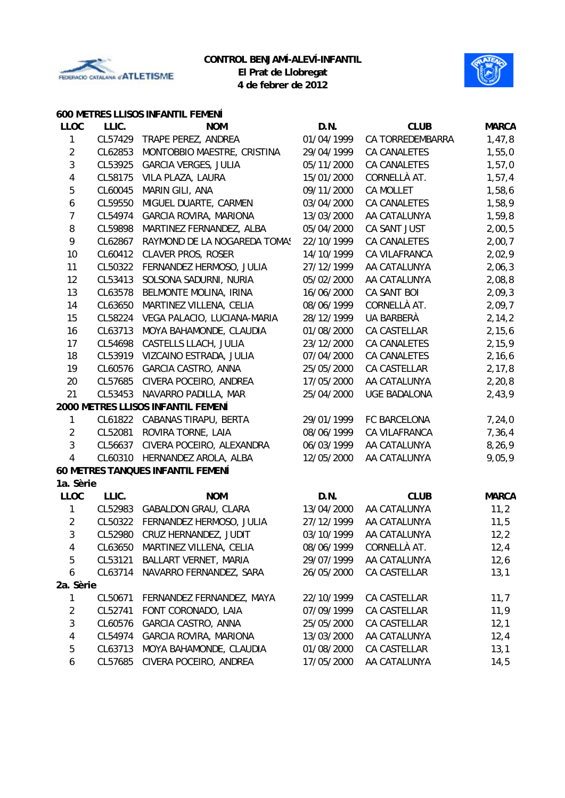



#### **600 METRES LLISOS INFANTIL FEMENÍ**

| <b>LLOC</b>      | LLIC.   | <b>NOM</b>                         | D.N.       | <b>CLUB</b>         | <b>MARCA</b> |
|------------------|---------|------------------------------------|------------|---------------------|--------------|
| 1                | CL57429 | TRAPE PEREZ, ANDREA                | 01/04/1999 | CA TORREDEMBARRA    | 1,47,8       |
| $\overline{2}$   | CL62853 | MONTOBBIO MAESTRE, CRISTINA        | 29/04/1999 | <b>CA CANALETES</b> | 1,55,0       |
| 3                | CL53925 | <b>GARCIA VERGES, JULIA</b>        | 05/11/2000 | <b>CA CANALETES</b> | 1,57,0       |
| 4                | CL58175 | VILA PLAZA, LAURA                  | 15/01/2000 | CORNELLÀ AT.        | 1,57,4       |
| 5                | CL60045 | MARIN GILI, ANA                    | 09/11/2000 | <b>CA MOLLET</b>    | 1,58,6       |
| $\boldsymbol{6}$ | CL59550 | MIGUEL DUARTE, CARMEN              | 03/04/2000 | <b>CA CANALETES</b> | 1,58,9       |
| $\overline{7}$   | CL54974 | <b>GARCIA ROVIRA, MARIONA</b>      | 13/03/2000 | AA CATALUNYA        | 1,59,8       |
| 8                | CL59898 | MARTINEZ FERNANDEZ, ALBA           | 05/04/2000 | CA SANT JUST        | 2,00,5       |
| 9                | CL62867 | RAYMOND DE LA NOGAREDA TOMAS       | 22/10/1999 | CA CANALETES        | 2,00,7       |
| 10               | CL60412 | <b>CLAVER PROS, ROSER</b>          | 14/10/1999 | CA VILAFRANCA       | 2,02,9       |
| 11               | CL50322 | FERNANDEZ HERMOSO, JULIA           | 27/12/1999 | AA CATALUNYA        | 2,06,3       |
| 12               | CL53413 | SOLSONA SADURNI, NURIA             | 05/02/2000 | AA CATALUNYA        | 2,08,8       |
| 13               | CL63578 | BELMONTE MOLINA, IRINA             | 16/06/2000 | CA SANT BOI         | 2,09,3       |
| 14               | CL63650 | MARTINEZ VILLENA, CELIA            | 08/06/1999 | CORNELLÀ AT.        | 2,09,7       |
| 15               | CL58224 | VEGA PALACIO, LUCIANA-MARIA        | 28/12/1999 | UA BARBERÀ          | 2, 14, 2     |
| 16               | CL63713 | MOYA BAHAMONDE, CLAUDIA            | 01/08/2000 | CA CASTELLAR        | 2, 15, 6     |
| 17               | CL54698 | CASTELLS LLACH, JULIA              | 23/12/2000 | CA CANALETES        | 2,15,9       |
| 18               | CL53919 | VIZCAINO ESTRADA, JULIA            | 07/04/2000 | <b>CA CANALETES</b> | 2, 16, 6     |
| 19               | CL60576 | GARCIA CASTRO, ANNA                | 25/05/2000 | CA CASTELLAR        | 2, 17, 8     |
| 20               | CL57685 | CIVERA POCEIRO, ANDREA             | 17/05/2000 | AA CATALUNYA        | 2, 20, 8     |
| 21               | CL53453 | NAVARRO PADILLA, MAR               | 25/04/2000 | <b>UGE BADALONA</b> | 2,43,9       |
|                  |         | 2000 METRES LLISOS INFANTIL FEMENÍ |            |                     |              |
| 1                |         | CL61822 CABANAS TIRAPU, BERTA      | 29/01/1999 | FC BARCELONA        | 7,24,0       |
| $\overline{2}$   | CL52081 | ROVIRA TORNE, LAIA                 | 08/06/1999 | CA VILAFRANCA       | 7,36,4       |
| 3                | CL56637 | CIVERA POCEIRO, ALEXANDRA          | 06/03/1999 | AA CATALUNYA        | 8,26,9       |
| $\overline{4}$   | CL60310 | HERNANDEZ AROLA, ALBA              | 12/05/2000 | AA CATALUNYA        | 9,05,9       |
|                  |         | 60 METRES TANQUES INFANTIL FEMENÍ  |            |                     |              |
| 1a. Sèrie        |         |                                    |            |                     |              |
| <b>LLOC</b>      | LLIC.   | <b>NOM</b>                         | D.N.       | <b>CLUB</b>         | <b>MARCA</b> |
| $\mathbf{1}$     | CL52983 | <b>GABALDON GRAU, CLARA</b>        | 13/04/2000 | AA CATALUNYA        | 11,2         |
| $\overline{2}$   | CL50322 | FERNANDEZ HERMOSO, JULIA           | 27/12/1999 | AA CATALUNYA        | 11,5         |
| 3                | CL52980 | CRUZ HERNANDEZ, JUDIT              | 03/10/1999 | AA CATALUNYA        | 12,2         |
| 4                | CL63650 | MARTINEZ VILLENA, CELIA            | 08/06/1999 | CORNELLÀ AT.        | 12,4         |
| 5                | CL53121 | BALLART VERNET, MARIA              | 29/07/1999 | AA CATALUNYA        | 12,6         |
| 6                | CL63714 | NAVARRO FERNANDEZ, SARA            | 26/05/2000 | CA CASTELLAR        | 13,1         |
| 2a. Sèrie        |         |                                    |            |                     |              |
| 1                | CL50671 | FERNANDEZ FERNANDEZ, MAYA          | 22/10/1999 | CA CASTELLAR        | 11,7         |
| $\overline{2}$   | CL52741 | FONT CORONADO, LAIA                | 07/09/1999 | CA CASTELLAR        | 11,9         |
| 3                | CL60576 | GARCIA CASTRO, ANNA                | 25/05/2000 | CA CASTELLAR        | 12,1         |
| 4                | CL54974 | GARCIA ROVIRA, MARIONA             | 13/03/2000 | AA CATALUNYA        | 12,4         |
| 5                | CL63713 | MOYA BAHAMONDE, CLAUDIA            | 01/08/2000 | CA CASTELLAR        | 13,1         |
| 6                | CL57685 | CIVERA POCEIRO, ANDREA             | 17/05/2000 | AA CATALUNYA        | 14,5         |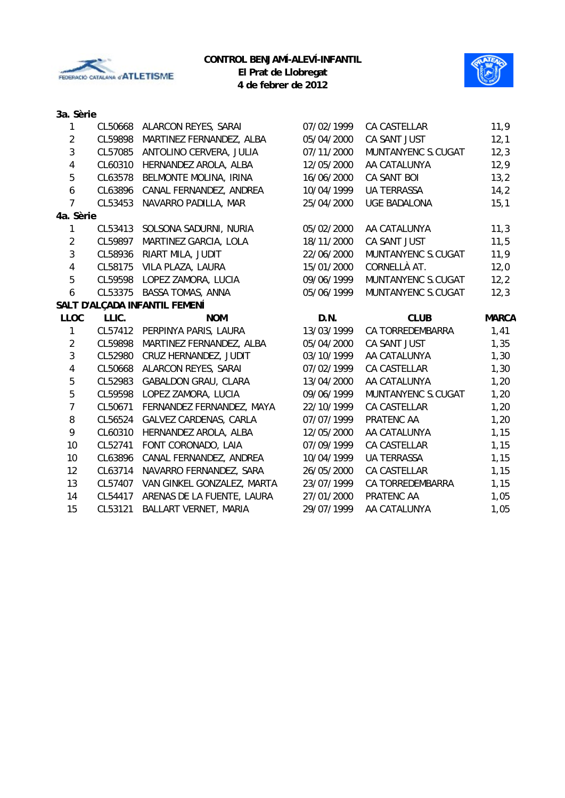



# **3a. Sèrie**

| 1              | CL50668 | ALARCON REYES, SARAI          | 07/02/1999 | CA CASTELLAR        | 11,9         |
|----------------|---------|-------------------------------|------------|---------------------|--------------|
| $\overline{2}$ | CL59898 | MARTINEZ FERNANDEZ, ALBA      | 05/04/2000 | CA SANT JUST        | 12,1         |
| 3              | CL57085 | ANTOLINO CERVERA, JULIA       | 07/11/2000 | MUNTANYENC S.CUGAT  | 12,3         |
| 4              | CL60310 | HERNANDEZ AROLA, ALBA         | 12/05/2000 | AA CATALUNYA        | 12,9         |
| 5              | CL63578 | BELMONTE MOLINA, IRINA        | 16/06/2000 | CA SANT BOI         | 13,2         |
| 6              | CL63896 | CANAL FERNANDEZ, ANDREA       | 10/04/1999 | <b>UA TERRASSA</b>  | 14,2         |
| $\overline{7}$ | CL53453 | NAVARRO PADILLA, MAR          | 25/04/2000 | <b>UGE BADALONA</b> | 15,1         |
| 4a. Sèrie      |         |                               |            |                     |              |
| 1              | CL53413 | SOLSONA SADURNI, NURIA        | 05/02/2000 | AA CATALUNYA        | 11,3         |
| $\overline{2}$ | CL59897 | MARTINEZ GARCIA, LOLA         | 18/11/2000 | CA SANT JUST        | 11,5         |
| 3              | CL58936 | RIART MILA, JUDIT             | 22/06/2000 | MUNTANYENC S.CUGAT  | 11,9         |
| 4              | CL58175 | VILA PLAZA, LAURA             | 15/01/2000 | CORNELLÀ AT.        | 12,0         |
| 5              | CL59598 | LOPEZ ZAMORA, LUCIA           | 09/06/1999 | MUNTANYENC S.CUGAT  | 12,2         |
| 6              | CL53375 | <b>BASSA TOMAS, ANNA</b>      | 05/06/1999 | MUNTANYENC S.CUGAT  | 12,3         |
|                |         | SALT D'ALÇADA INFANTIL FEMENÍ |            |                     |              |
| <b>LLOC</b>    | LLIC.   | <b>NOM</b>                    | D.N.       | <b>CLUB</b>         | <b>MARCA</b> |
| $\mathbf 1$    |         | CL57412 PERPINYA PARIS, LAURA | 13/03/1999 | CA TORREDEMBARRA    | 1,41         |
| $\overline{2}$ | CL59898 | MARTINEZ FERNANDEZ, ALBA      | 05/04/2000 | CA SANT JUST        | 1,35         |
| 3              | CL52980 | CRUZ HERNANDEZ, JUDIT         | 03/10/1999 | AA CATALUNYA        | 1,30         |
| 4              | CL50668 | ALARCON REYES, SARAI          | 07/02/1999 | CA CASTELLAR        | 1,30         |
| 5              | CL52983 | <b>GABALDON GRAU, CLARA</b>   | 13/04/2000 | AA CATALUNYA        | 1,20         |
| 5              | CL59598 | LOPEZ ZAMORA, LUCIA           | 09/06/1999 | MUNTANYENC S.CUGAT  | 1,20         |
| $\overline{7}$ | CL50671 | FERNANDEZ FERNANDEZ, MAYA     | 22/10/1999 | CA CASTELLAR        | 1,20         |
| 8              | CL56524 | GALVEZ CARDENAS, CARLA        | 07/07/1999 | PRATENC AA          | 1,20         |
| 9              | CL60310 | HERNANDEZ AROLA, ALBA         | 12/05/2000 | AA CATALUNYA        | 1,15         |
| 10             | CL52741 | FONT CORONADO, LAIA           | 07/09/1999 | CA CASTELLAR        | 1,15         |
| 10             | CL63896 | CANAL FERNANDEZ, ANDREA       | 10/04/1999 | <b>UA TERRASSA</b>  | 1,15         |
| 12             | CL63714 | NAVARRO FERNANDEZ, SARA       | 26/05/2000 | <b>CA CASTELLAR</b> | 1,15         |
| 13             | CL57407 | VAN GINKEL GONZALEZ, MARTA    | 23/07/1999 | CA TORREDEMBARRA    | 1,15         |
| 14             | CL54417 | ARENAS DE LA FUENTE, LAURA    | 27/01/2000 | PRATENC AA          | 1,05         |
| 15             | CL53121 | BALLART VERNET, MARIA         | 29/07/1999 | AA CATALUNYA        | 1,05         |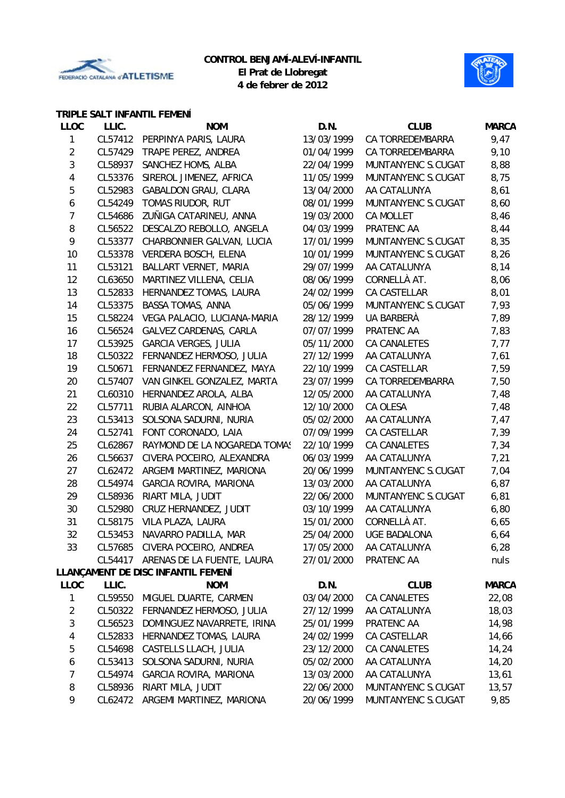



# **TRIPLE SALT INFANTIL FEMENÍ**

| <b>LLOC</b>             | LLIC.   | <b>NOM</b>                         | D.N.       | <b>CLUB</b>         | <b>MARCA</b> |
|-------------------------|---------|------------------------------------|------------|---------------------|--------------|
| 1                       | CL57412 | PERPINYA PARIS, LAURA              | 13/03/1999 | CA TORREDEMBARRA    | 9,47         |
| $\overline{2}$          | CL57429 | TRAPE PEREZ, ANDREA                | 01/04/1999 | CA TORREDEMBARRA    | 9,10         |
| 3                       | CL58937 | SANCHEZ HOMS, ALBA                 | 22/04/1999 | MUNTANYENC S.CUGAT  | 8,88         |
| 4                       | CL53376 | SIREROL JIMENEZ, AFRICA            | 11/05/1999 | MUNTANYENC S.CUGAT  | 8,75         |
| 5                       | CL52983 | <b>GABALDON GRAU, CLARA</b>        | 13/04/2000 | AA CATALUNYA        | 8,61         |
| 6                       | CL54249 | TOMAS RIUDOR, RUT                  | 08/01/1999 | MUNTANYENC S.CUGAT  | 8,60         |
| $\overline{7}$          | CL54686 | ZUÑIGA CATARINEU, ANNA             | 19/03/2000 | <b>CA MOLLET</b>    | 8,46         |
| 8                       | CL56522 | DESCALZO REBOLLO, ANGELA           | 04/03/1999 | PRATENC AA          | 8,44         |
| 9                       | CL53377 | CHARBONNIER GALVAN, LUCIA          | 17/01/1999 | MUNTANYENC S.CUGAT  | 8,35         |
| 10                      | CL53378 | VERDERA BOSCH, ELENA               | 10/01/1999 | MUNTANYENC S.CUGAT  | 8,26         |
| 11                      | CL53121 | BALLART VERNET, MARIA              | 29/07/1999 | AA CATALUNYA        | 8,14         |
| 12                      | CL63650 | MARTINEZ VILLENA, CELIA            | 08/06/1999 | CORNELLÀ AT.        | 8,06         |
| 13                      | CL52833 | HERNANDEZ TOMAS, LAURA             | 24/02/1999 | CA CASTELLAR        | 8,01         |
| 14                      | CL53375 | BASSA TOMAS, ANNA                  | 05/06/1999 | MUNTANYENC S.CUGAT  | 7,93         |
| 15                      | CL58224 | VEGA PALACIO, LUCIANA-MARIA        | 28/12/1999 | UA BARBERÀ          | 7,89         |
| 16                      | CL56524 | GALVEZ CARDENAS, CARLA             | 07/07/1999 | PRATENC AA          | 7,83         |
| 17                      | CL53925 | <b>GARCIA VERGES, JULIA</b>        | 05/11/2000 | CA CANALETES        | 7,77         |
| 18                      | CL50322 | FERNANDEZ HERMOSO, JULIA           | 27/12/1999 | AA CATALUNYA        | 7,61         |
| 19                      | CL50671 | FERNANDEZ FERNANDEZ, MAYA          | 22/10/1999 | CA CASTELLAR        | 7,59         |
| 20                      | CL57407 | VAN GINKEL GONZALEZ, MARTA         | 23/07/1999 | CA TORREDEMBARRA    | 7,50         |
| 21                      | CL60310 | HERNANDEZ AROLA, ALBA              | 12/05/2000 | AA CATALUNYA        | 7,48         |
| 22                      | CL57711 | RUBIA ALARCON, AINHOA              | 12/10/2000 | CA OLESA            | 7,48         |
| 23                      | CL53413 | SOLSONA SADURNI, NURIA             | 05/02/2000 | AA CATALUNYA        | 7,47         |
| 24                      | CL52741 | FONT CORONADO, LAIA                | 07/09/1999 | CA CASTELLAR        | 7,39         |
| 25                      | CL62867 | RAYMOND DE LA NOGAREDA TOMAS       | 22/10/1999 | CA CANALETES        | 7,34         |
| 26                      | CL56637 | CIVERA POCEIRO, ALEXANDRA          | 06/03/1999 | AA CATALUNYA        | 7,21         |
| 27                      | CL62472 | ARGEMI MARTINEZ, MARIONA           | 20/06/1999 | MUNTANYENC S.CUGAT  | 7,04         |
| 28                      | CL54974 | <b>GARCIA ROVIRA, MARIONA</b>      | 13/03/2000 | AA CATALUNYA        | 6,87         |
| 29                      | CL58936 | RIART MILA, JUDIT                  | 22/06/2000 | MUNTANYENC S.CUGAT  | 6,81         |
| 30                      | CL52980 | CRUZ HERNANDEZ, JUDIT              | 03/10/1999 | AA CATALUNYA        | 6,80         |
| 31                      | CL58175 | VILA PLAZA, LAURA                  | 15/01/2000 | CORNELLÀ AT.        | 6,65         |
| 32                      | CL53453 | NAVARRO PADILLA, MAR               | 25/04/2000 | <b>UGE BADALONA</b> | 6,64         |
| 33                      |         | CL57685 CIVERA POCEIRO, ANDREA     | 17/05/2000 | AA CATALUNYA        | 6,28         |
|                         | CL54417 | ARENAS DE LA FUENTE, LAURA         | 27/01/2000 | PRATENC AA          | nuls         |
|                         |         | LLANÇAMENT DE DISC INFANTIL FEMENÍ |            |                     |              |
| LLOC                    | LLIC.   | <b>NOM</b>                         | D.N.       | <b>CLUB</b>         | <b>MARCA</b> |
| 1                       | CL59550 | MIGUEL DUARTE, CARMEN              | 03/04/2000 | CA CANALETES        | 22,08        |
| $\overline{2}$          | CL50322 | FERNANDEZ HERMOSO, JULIA           | 27/12/1999 | AA CATALUNYA        | 18,03        |
| 3                       | CL56523 | DOMINGUEZ NAVARRETE, IRINA         | 25/01/1999 | PRATENC AA          | 14,98        |
| $\overline{\mathbf{4}}$ | CL52833 | HERNANDEZ TOMAS, LAURA             | 24/02/1999 | CA CASTELLAR        | 14,66        |
| 5                       | CL54698 | CASTELLS LLACH, JULIA              | 23/12/2000 | CA CANALETES        | 14,24        |
| 6                       | CL53413 | SOLSONA SADURNI, NURIA             | 05/02/2000 | AA CATALUNYA        | 14,20        |
| $\overline{7}$          | CL54974 | GARCIA ROVIRA, MARIONA             | 13/03/2000 | AA CATALUNYA        | 13,61        |
| 8                       | CL58936 | RIART MILA, JUDIT                  | 22/06/2000 | MUNTANYENC S.CUGAT  | 13,57        |
| 9                       | CL62472 | ARGEMI MARTINEZ, MARIONA           | 20/06/1999 | MUNTANYENC S.CUGAT  | 9,85         |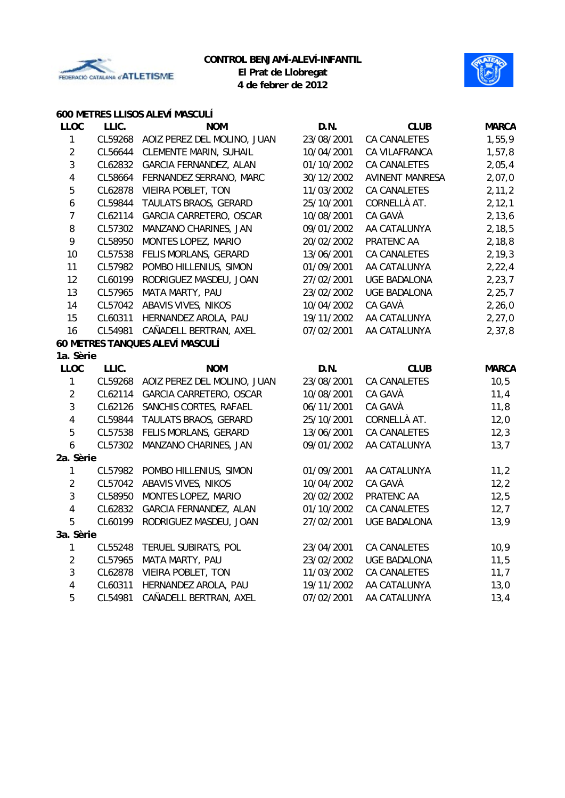



# **600 METRES LLISOS ALEVÍ MASCULÍ**

| <b>LLOC</b>             | LLIC.   | <b>NOM</b>                      | D.N.       | <b>CLUB</b>            | <b>MARCA</b> |
|-------------------------|---------|---------------------------------|------------|------------------------|--------------|
| $\mathbf{1}$            | CL59268 | AOIZ PEREZ DEL MOLINO, JUAN     | 23/08/2001 | CA CANALETES           | 1,55,9       |
| $\overline{2}$          | CL56644 | CLEMENTE MARIN, SUHAIL          | 10/04/2001 | CA VILAFRANCA          | 1,57,8       |
| $\mathbf{3}$            | CL62832 | GARCIA FERNANDEZ, ALAN          | 01/10/2002 | CA CANALETES           | 2,05,4       |
| $\overline{\mathbf{4}}$ | CL58664 | FERNANDEZ SERRANO, MARC         | 30/12/2002 | <b>AVINENT MANRESA</b> | 2,07,0       |
| 5                       | CL62878 | VIEIRA POBLET, TON              | 11/03/2002 | <b>CA CANALETES</b>    | 2, 11, 2     |
| 6                       | CL59844 | TAULATS BRAOS, GERARD           | 25/10/2001 | CORNELLÀ AT.           | 2, 12, 1     |
| $\overline{7}$          | CL62114 | GARCIA CARRETERO, OSCAR         | 10/08/2001 | CA GAVÀ                | 2, 13, 6     |
| 8                       | CL57302 | MANZANO CHARINES, JAN           | 09/01/2002 | AA CATALUNYA           | 2, 18, 5     |
| 9                       | CL58950 | MONTES LOPEZ, MARIO             | 20/02/2002 | PRATENC AA             | 2, 18, 8     |
| 10                      | CL57538 | FELIS MORLANS, GERARD           | 13/06/2001 | CA CANALETES           | 2, 19, 3     |
| 11                      | CL57982 | POMBO HILLENIUS, SIMON          | 01/09/2001 | AA CATALUNYA           | 2, 22, 4     |
| 12                      | CL60199 | RODRIGUEZ MASDEU, JOAN          | 27/02/2001 | <b>UGE BADALONA</b>    | 2,23,7       |
| 13                      | CL57965 | MATA MARTY, PAU                 | 23/02/2002 | <b>UGE BADALONA</b>    | 2, 25, 7     |
| 14                      | CL57042 | ABAVIS VIVES, NIKOS             | 10/04/2002 | CA GAVÀ                | 2, 26, 0     |
| 15                      | CL60311 | HERNANDEZ AROLA, PAU            | 19/11/2002 | AA CATALUNYA           | 2, 27, 0     |
| 16                      | CL54981 | CAÑADELL BERTRAN, AXEL          | 07/02/2001 | AA CATALUNYA           | 2,37,8       |
|                         |         | 60 METRES TANQUES ALEVÍ MASCULÍ |            |                        |              |
| 1a. Sèrie               |         |                                 |            |                        |              |
| <b>LLOC</b>             | LLIC.   | <b>NOM</b>                      | D.N.       | <b>CLUB</b>            | <b>MARCA</b> |
| $\mathbf{1}$            | CL59268 | AOIZ PEREZ DEL MOLINO, JUAN     | 23/08/2001 | CA CANALETES           | 10,5         |
|                         |         |                                 |            |                        | 11,4         |
| $\overline{2}$          | CL62114 | GARCIA CARRETERO, OSCAR         | 10/08/2001 | CA GAVÀ                |              |
| 3                       | CL62126 | SANCHIS CORTES, RAFAEL          | 06/11/2001 | CA GAVÀ                | 11,8         |
| $\overline{\mathbf{4}}$ | CL59844 | TAULATS BRAOS, GERARD           | 25/10/2001 | CORNELLÀ AT.           | 12,0         |
| 5                       | CL57538 | FELIS MORLANS, GERARD           | 13/06/2001 | CA CANALETES           | 12,3         |
| $\boldsymbol{6}$        | CL57302 | MANZANO CHARINES, JAN           | 09/01/2002 | AA CATALUNYA           | 13,7         |
| 2a. Sèrie               |         |                                 |            |                        |              |
| $\mathbf{1}$            | CL57982 | POMBO HILLENIUS, SIMON          | 01/09/2001 | AA CATALUNYA           | 11,2         |
| $\overline{2}$          | CL57042 | ABAVIS VIVES, NIKOS             | 10/04/2002 | CA GAVÀ                | 12,2         |
| $\mathbf{3}$            | CL58950 | MONTES LOPEZ, MARIO             | 20/02/2002 | PRATENC AA             | 12,5         |
| $\overline{\mathbf{4}}$ | CL62832 | GARCIA FERNANDEZ, ALAN          | 01/10/2002 | CA CANALETES           | 12,7         |
| 5                       | CL60199 | RODRIGUEZ MASDEU, JOAN          | 27/02/2001 | <b>UGE BADALONA</b>    | 13,9         |
| 3a. Sèrie               |         |                                 |            |                        |              |
| $\mathbf{1}$            | CL55248 | TERUEL SUBIRATS, POL            | 23/04/2001 | CA CANALETES           | 10,9         |
| $\overline{2}$          | CL57965 | MATA MARTY, PAU                 | 23/02/2002 | <b>UGE BADALONA</b>    | 11,5         |
| $\mathbf{3}$            | CL62878 | <b>VIEIRA POBLET, TON</b>       | 11/03/2002 | CA CANALETES           | 11,7         |
| $\overline{\mathbf{4}}$ | CL60311 | HERNANDEZ AROLA, PAU            | 19/11/2002 | AA CATALUNYA           | 13,0         |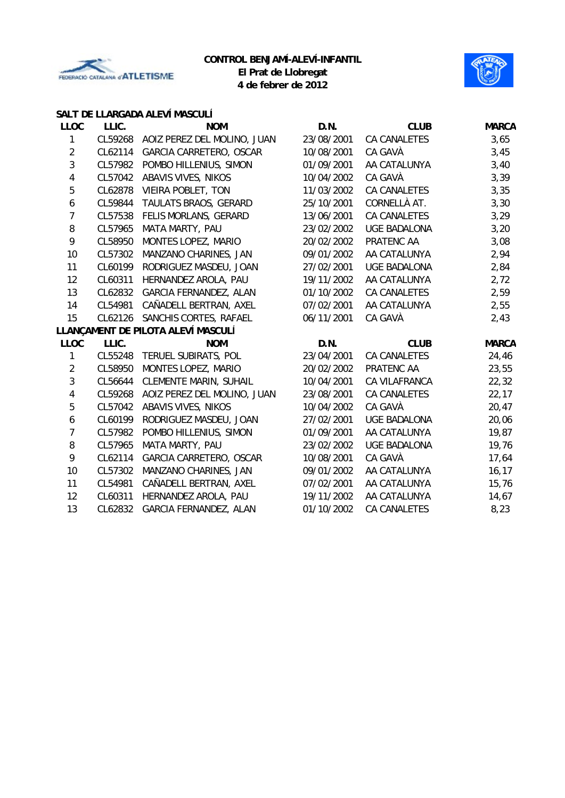



# **SALT DE LLARGADA ALEVÍ MASCULÍ**

| <b>LLOC</b>             | LLIC.   | <b>NOM</b>                         | D.N.       | <b>CLUB</b>         | <b>MARCA</b> |
|-------------------------|---------|------------------------------------|------------|---------------------|--------------|
| $\mathbf{1}$            | CL59268 | AOIZ PEREZ DEL MOLINO, JUAN        | 23/08/2001 | CA CANALETES        | 3,65         |
| $\overline{2}$          | CL62114 | <b>GARCIA CARRETERO, OSCAR</b>     | 10/08/2001 | CA GAVÀ             | 3,45         |
| $\mathbf{3}$            | CL57982 | POMBO HILLENIUS, SIMON             | 01/09/2001 | AA CATALUNYA        | 3,40         |
| $\pmb{4}$               | CL57042 | ABAVIS VIVES, NIKOS                | 10/04/2002 | CA GAVÀ             | 3,39         |
| 5                       | CL62878 | VIEIRA POBLET, TON                 | 11/03/2002 | CA CANALETES        | 3,35         |
| 6                       | CL59844 | TAULATS BRAOS, GERARD              | 25/10/2001 | CORNELLÀ AT.        | 3,30         |
| 7                       | CL57538 | FELIS MORLANS, GERARD              | 13/06/2001 | <b>CA CANALETES</b> | 3,29         |
| 8                       | CL57965 | MATA MARTY, PAU                    | 23/02/2002 | <b>UGE BADALONA</b> | 3,20         |
| 9                       | CL58950 | MONTES LOPEZ, MARIO                | 20/02/2002 | PRATENC AA          | 3,08         |
| 10                      | CL57302 | MANZANO CHARINES, JAN              | 09/01/2002 | AA CATALUNYA        | 2,94         |
| 11                      | CL60199 | RODRIGUEZ MASDEU, JOAN             | 27/02/2001 | <b>UGE BADALONA</b> | 2,84         |
| 12                      | CL60311 | HERNANDEZ AROLA, PAU               | 19/11/2002 | AA CATALUNYA        | 2,72         |
| 13                      | CL62832 | GARCIA FERNANDEZ, ALAN             | 01/10/2002 | CA CANALETES        | 2,59         |
| 14                      | CL54981 | CAÑADELL BERTRAN, AXEL             | 07/02/2001 | AA CATALUNYA        | 2,55         |
| 15                      | CL62126 | SANCHIS CORTES, RAFAEL             | 06/11/2001 | CA GAVÀ             | 2,43         |
|                         |         | LLANÇAMENT DE PILOTA ALEVÍ MASCULÍ |            |                     |              |
| <b>LLOC</b>             | LLIC.   | <b>NOM</b>                         | D.N.       | <b>CLUB</b>         | <b>MARCA</b> |
| $\mathbf{1}$            | CL55248 | TERUEL SUBIRATS, POL               | 23/04/2001 | CA CANALETES        | 24,46        |
| $\overline{2}$          | CL58950 | MONTES LOPEZ, MARIO                | 20/02/2002 | PRATENC AA          | 23,55        |
| 3                       | CL56644 | <b>CLEMENTE MARIN, SUHAIL</b>      | 10/04/2001 | CA VILAFRANCA       | 22,32        |
| $\overline{\mathbf{4}}$ | CL59268 | AOIZ PEREZ DEL MOLINO, JUAN        | 23/08/2001 | <b>CA CANALETES</b> | 22,17        |
| 5                       | CL57042 | ABAVIS VIVES, NIKOS                | 10/04/2002 | CA GAVÀ             | 20,47        |
| 6                       | CL60199 | RODRIGUEZ MASDEU, JOAN             | 27/02/2001 | <b>UGE BADALONA</b> | 20,06        |
| 7                       | CL57982 | POMBO HILLENIUS, SIMON             | 01/09/2001 | AA CATALUNYA        | 19,87        |
| 8                       | CL57965 | MATA MARTY, PAU                    | 23/02/2002 | <b>UGE BADALONA</b> | 19,76        |
| 9                       | CL62114 | GARCIA CARRETERO, OSCAR            | 10/08/2001 | CA GAVÀ             | 17,64        |
| 10                      | CL57302 | MANZANO CHARINES, JAN              | 09/01/2002 | AA CATALUNYA        | 16, 17       |
|                         |         |                                    |            |                     |              |
| 11                      | CL54981 | CAÑADELL BERTRAN, AXEL             | 07/02/2001 | AA CATALUNYA        | 15,76        |
| 12                      | CL60311 | HERNANDEZ AROLA, PAU               | 19/11/2002 | AA CATALUNYA        | 14,67        |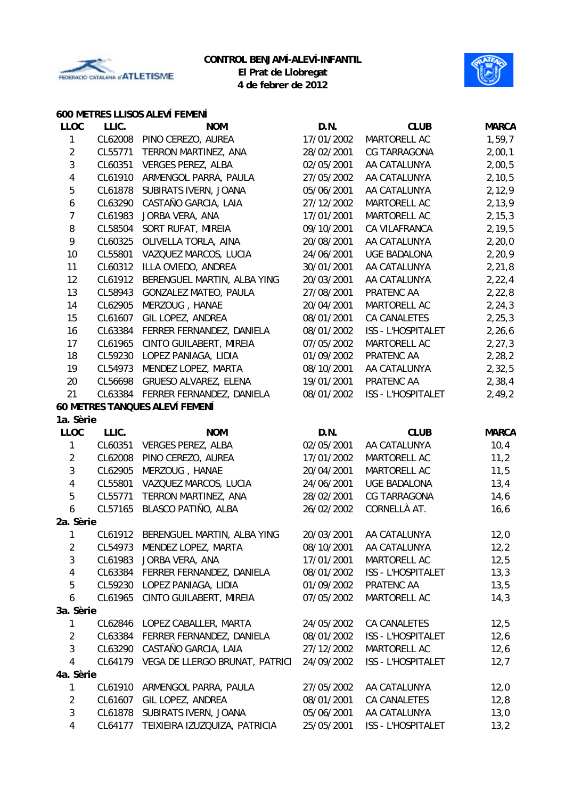



#### **600 METRES LLISOS ALEVÍ FEMENÍ**

| <b>LLOC</b>             | LLIC.   | <b>NOM</b>                          | D.N.       | <b>CLUB</b>         | <b>MARCA</b> |
|-------------------------|---------|-------------------------------------|------------|---------------------|--------------|
| 1                       | CL62008 | PINO CEREZO, AUREA                  | 17/01/2002 | MARTORELL AC        | 1,59,7       |
| $\overline{2}$          | CL55771 | TERRON MARTINEZ, ANA                | 28/02/2001 | <b>CG TARRAGONA</b> | 2,00,1       |
| $\mathbf{3}$            | CL60351 | <b>VERGES PEREZ, ALBA</b>           | 02/05/2001 | AA CATALUNYA        | 2,00,5       |
| 4                       | CL61910 | ARMENGOL PARRA, PAULA               | 27/05/2002 | AA CATALUNYA        | 2, 10, 5     |
| 5                       | CL61878 | SUBIRATS IVERN, JOANA               | 05/06/2001 | AA CATALUNYA        | 2,12,9       |
| 6                       | CL63290 | CASTAÑO GARCIA, LAIA                | 27/12/2002 | MARTORELL AC        | 2,13,9       |
| 7                       | CL61983 | JORBA VERA, ANA                     | 17/01/2001 | MARTORELL AC        | 2, 15, 3     |
| 8                       | CL58504 | SORT RUFAT, MIREIA                  | 09/10/2001 | CA VILAFRANCA       | 2, 19, 5     |
| 9                       | CL60325 | OLIVELLA TORLA, AINA                | 20/08/2001 | AA CATALUNYA        | 2, 20, 0     |
| 10                      | CL55801 | VAZQUEZ MARCOS, LUCIA               | 24/06/2001 | <b>UGE BADALONA</b> | 2,20,9       |
| 11                      | CL60312 | ILLA OVIEDO, ANDREA                 | 30/01/2001 | AA CATALUNYA        | 2, 21, 8     |
| 12                      | CL61912 | BERENGUEL MARTIN, ALBA YING         | 20/03/2001 | AA CATALUNYA        | 2, 22, 4     |
| 13                      | CL58943 | GONZALEZ MATEO, PAULA               | 27/08/2001 | PRATENC AA          | 2, 22, 8     |
| 14                      | CL62905 | MERZOUG, HANAE                      | 20/04/2001 | MARTORELL AC        | 2, 24, 3     |
| 15                      | CL61607 | GIL LOPEZ, ANDREA                   | 08/01/2001 | <b>CA CANALETES</b> | 2, 25, 3     |
| 16                      | CL63384 | FERRER FERNANDEZ, DANIELA           | 08/01/2002 | ISS - L'HOSPITALET  | 2,26,6       |
| 17                      | CL61965 | CINTO GUILABERT, MIREIA             | 07/05/2002 | MARTORELL AC        | 2, 27, 3     |
| 18                      | CL59230 | LOPEZ PANIAGA, LIDIA                | 01/09/2002 | PRATENC AA          | 2,28,2       |
| 19                      | CL54973 | MENDEZ LOPEZ, MARTA                 | 08/10/2001 | AA CATALUNYA        | 2, 32, 5     |
| 20                      | CL56698 | GRUESO ALVAREZ, ELENA               | 19/01/2001 | PRATENC AA          | 2, 38, 4     |
| 21                      | CL63384 | FERRER FERNANDEZ, DANIELA           | 08/01/2002 | ISS - L'HOSPITALET  | 2,49,2       |
|                         |         | 60 METRES TANQUES ALEVÍ FEMENÍ      |            |                     |              |
| 1a. Sèrie               |         |                                     |            |                     |              |
| <b>LLOC</b>             | LLIC.   | <b>NOM</b>                          | D.N.       | <b>CLUB</b>         | <b>MARCA</b> |
| $\mathbf{1}$            | CL60351 | <b>VERGES PEREZ, ALBA</b>           | 02/05/2001 | AA CATALUNYA        | 10,4         |
| $\overline{2}$          | CL62008 | PINO CEREZO, AUREA                  | 17/01/2002 | MARTORELL AC        | 11,2         |
| $\mathbf{3}$            | CL62905 | MERZOUG, HANAE                      | 20/04/2001 | MARTORELL AC        | 11,5         |
| $\overline{\mathbf{4}}$ | CL55801 | VAZQUEZ MARCOS, LUCIA               | 24/06/2001 | <b>UGE BADALONA</b> | 13,4         |
| 5                       | CL55771 | TERRON MARTINEZ, ANA                | 28/02/2001 | CG TARRAGONA        | 14,6         |
| 6                       | CL57165 | BLASCO PATIÑO, ALBA                 | 26/02/2002 | CORNELLÀ AT.        | 16, 6        |
| 2a. Sèrie               |         |                                     |            |                     |              |
| 1                       |         | CL61912 BERENGUEL MARTIN, ALBA YING | 20/03/2001 | AA CATALUNYA        | 12,0         |
| 2                       |         | CL54973 MENDEZ LOPEZ, MARTA         | 08/10/2001 | AA CATALUNYA        | 12,2         |
| 3                       | CL61983 | JORBA VERA, ANA                     | 17/01/2001 | MARTORELL AC        | 12,5         |
| 4                       | CL63384 | FERRER FERNANDEZ, DANIELA           | 08/01/2002 | ISS - L'HOSPITALET  | 13,3         |
| 5                       | CL59230 | LOPEZ PANIAGA, LIDIA                | 01/09/2002 | PRATENC AA          | 13,5         |
| 6                       | CL61965 | CINTO GUILABERT, MIREIA             | 07/05/2002 | MARTORELL AC        | 14,3         |
| 3a. Sèrie               |         |                                     |            |                     |              |
| 1                       | CL62846 | LOPEZ CABALLER, MARTA               | 24/05/2002 | CA CANALETES        | 12,5         |
| $\overline{2}$          | CL63384 | FERRER FERNANDEZ, DANIELA           | 08/01/2002 | ISS - L'HOSPITALET  | 12,6         |
| 3                       | CL63290 | CASTAÑO GARCIA, LAIA                | 27/12/2002 | MARTORELL AC        | 12,6         |
| 4                       | CL64179 | VEGA DE LLERGO BRUNAT, PATRICI      | 24/09/2002 | ISS - L'HOSPITALET  | 12,7         |
| 4a. Sèrie               |         |                                     |            |                     |              |
| $\mathbf{1}$            | CL61910 | ARMENGOL PARRA, PAULA               | 27/05/2002 | AA CATALUNYA        | 12,0         |
| $\overline{c}$          | CL61607 | GIL LOPEZ, ANDREA                   | 08/01/2001 | CA CANALETES        | 12,8         |
| 3                       | CL61878 | SUBIRATS IVERN, JOANA               | 05/06/2001 | AA CATALUNYA        | 13,0         |
| 4                       | CL64177 | TEIXIEIRA IZUZQUIZA, PATRICIA       | 25/05/2001 | ISS - L'HOSPITALET  | 13,2         |
|                         |         |                                     |            |                     |              |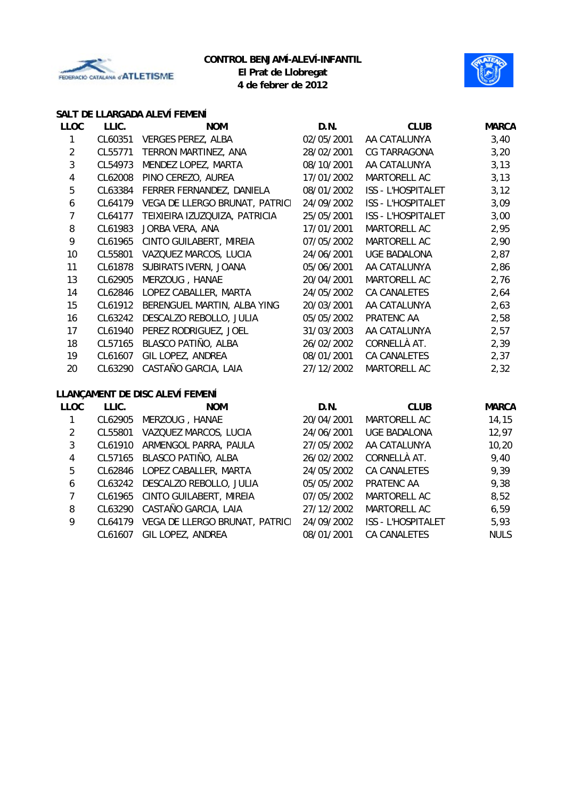



#### **SALT DE LLARGADA ALEVÍ FEMENÍ**

| <b>LLOC</b>      | LLIC.   | <b>NOM</b>                      | D.N.       | <b>CLUB</b>         | <b>MARCA</b> |
|------------------|---------|---------------------------------|------------|---------------------|--------------|
| 1                | CL60351 | <b>VERGES PEREZ, ALBA</b>       | 02/05/2001 | AA CATALUNYA        | 3,40         |
| $\overline{2}$   | CL55771 | TERRON MARTINEZ, ANA            | 28/02/2001 | <b>CG TARRAGONA</b> | 3,20         |
| 3                | CL54973 | MENDEZ LOPEZ, MARTA             | 08/10/2001 | AA CATALUNYA        | 3,13         |
| 4                | CL62008 | PINO CEREZO, AUREA              | 17/01/2002 | MARTORELL AC        | 3,13         |
| 5                | CL63384 | FERRER FERNANDEZ, DANIELA       | 08/01/2002 | ISS - L'HOSPITALET  | 3,12         |
| $\boldsymbol{6}$ | CL64179 | VEGA DE LLERGO BRUNAT, PATRICI  | 24/09/2002 | ISS - L'HOSPITALET  | 3,09         |
| $\overline{7}$   | CL64177 | TEIXIEIRA IZUZQUIZA, PATRICIA   | 25/05/2001 | ISS - L'HOSPITALET  | 3,00         |
| 8                | CL61983 | JORBA VERA, ANA                 | 17/01/2001 | MARTORELL AC        | 2,95         |
| 9                | CL61965 | CINTO GUILABERT, MIREIA         | 07/05/2002 | MARTORELL AC        | 2,90         |
| 10               | CL55801 | VAZQUEZ MARCOS, LUCIA           | 24/06/2001 | <b>UGE BADALONA</b> | 2,87         |
| 11               | CL61878 | SUBIRATS IVERN, JOANA           | 05/06/2001 | AA CATALUNYA        | 2,86         |
| 13               | CL62905 | MERZOUG, HANAE                  | 20/04/2001 | MARTORELL AC        | 2,76         |
| 14               | CL62846 | LOPEZ CABALLER, MARTA           | 24/05/2002 | CA CANALETES        | 2,64         |
| 15               | CL61912 | BERENGUEL MARTIN, ALBA YING     | 20/03/2001 | AA CATALUNYA        | 2,63         |
| 16               | CL63242 | DESCALZO REBOLLO, JULIA         | 05/05/2002 | PRATENC AA          | 2,58         |
| 17               | CL61940 | PEREZ RODRIGUEZ, JOEL           | 31/03/2003 | AA CATALUNYA        | 2,57         |
| 18               | CL57165 | BLASCO PATIÑO, ALBA             | 26/02/2002 | CORNELLÀ AT.        | 2,39         |
| 19               | CL61607 | GIL LOPEZ, ANDREA               | 08/01/2001 | CA CANALETES        | 2,37         |
| 20               | CL63290 | CASTAÑO GARCIA, LAIA            | 27/12/2002 | MARTORELL AC        | 2,32         |
|                  |         | LLANÇAMENT DE DISC ALEVÍ FEMENÍ |            |                     |              |
| <b>LLOC</b>      | LLIC.   | <b>NOM</b>                      | D.N.       | <b>CLUB</b>         | <b>MARCA</b> |
| 1                | CL62905 | MERZOUG, HANAE                  | 20/04/2001 | MARTORELL AC        | 14,15        |
| $\overline{2}$   | CL55801 | VAZQUEZ MARCOS, LUCIA           | 24/06/2001 | <b>UGE BADALONA</b> | 12,97        |
| $\mathfrak{Z}$   | CL61910 | ARMENGOL PARRA, PAULA           | 27/05/2002 | AA CATALUNYA        | 10,20        |
| 4                | CL57165 | BLASCO PATIÑO, ALBA             | 26/02/2002 | CORNELLÀ AT.        | 9,40         |
| 5                | CL62846 | LOPEZ CABALLER, MARTA           | 24/05/2002 | CA CANALETES        | 9,39         |
| $\boldsymbol{6}$ | CL63242 | DESCALZO REBOLLO, JULIA         | 05/05/2002 | PRATENC AA          | 9,38         |
| $\overline{7}$   | CL61965 | CINTO GUILABERT, MIREIA         | 07/05/2002 | MARTORELL AC        | 8,52         |
| 8                | CL63290 | CASTAÑO GARCIA, LAIA            | 27/12/2002 | MARTORELL AC        | 6,59         |
| 9                | CL64179 | VEGA DE LLERGO BRUNAT, PATRICI  | 24/09/2002 | ISS - L'HOSPITALET  | 5,93         |
|                  | CL61607 | GIL LOPEZ, ANDREA               | 08/01/2001 | <b>CA CANALETES</b> | <b>NULS</b>  |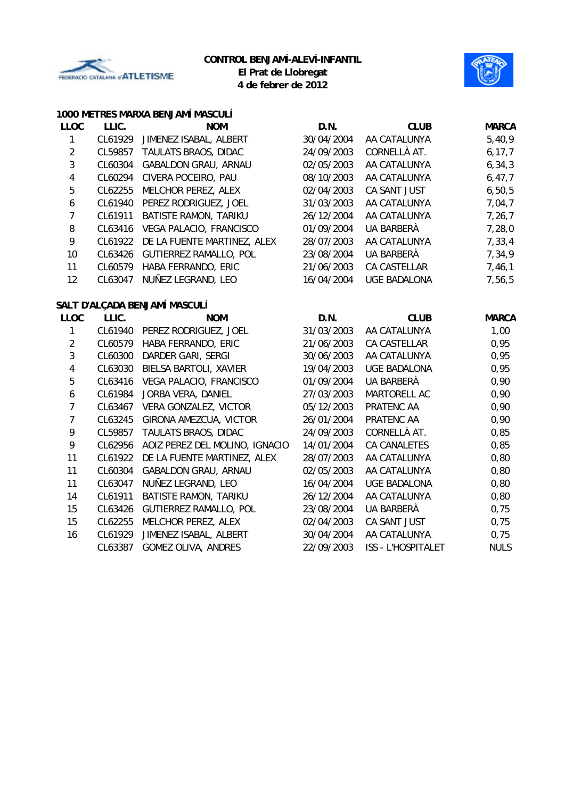



#### **1000 METRES MARXA BENJAMÍ MASCULÍ**

| <b>LLOC</b>             | LLIC.   | <b>NOM</b>                     | D.N.       | <b>CLUB</b>               | <b>MARCA</b> |
|-------------------------|---------|--------------------------------|------------|---------------------------|--------------|
| $\mathbf{1}$            | CL61929 | JIMENEZ ISABAL, ALBERT         | 30/04/2004 | AA CATALUNYA              | 5,40,9       |
| $\overline{2}$          | CL59857 | TAULATS BRAOS, DIDAC           | 24/09/2003 | CORNELLÀ AT.              | 6, 17, 7     |
| 3                       | CL60304 | GABALDON GRAU, ARNAU           | 02/05/2003 | AA CATALUNYA              | 6, 34, 3     |
| 4                       | CL60294 | CIVERA POCEIRO, PAU            | 08/10/2003 | AA CATALUNYA              | 6, 47, 7     |
| $\overline{5}$          | CL62255 | MELCHOR PEREZ, ALEX            | 02/04/2003 | CA SANT JUST              | 6, 50, 5     |
| $\boldsymbol{6}$        | CL61940 | PEREZ RODRIGUEZ, JOEL          | 31/03/2003 | AA CATALUNYA              | 7,04,7       |
| $\overline{7}$          | CL61911 | BATISTE RAMON, TARIKU          | 26/12/2004 | AA CATALUNYA              | 7,26,7       |
| 8                       | CL63416 | VEGA PALACIO, FRANCISCO        | 01/09/2004 | <b>UA BARBERÀ</b>         | 7,28,0       |
| 9                       | CL61922 | DE LA FUENTE MARTINEZ, ALEX    | 28/07/2003 | AA CATALUNYA              | 7,33,4       |
| 10                      | CL63426 | GUTIERREZ RAMALLO, POL         | 23/08/2004 | UA BARBERÀ                | 7,34,9       |
| 11                      | CL60579 | HABA FERRANDO, ERIC            | 21/06/2003 | CA CASTELLAR              | 7,46,1       |
| 12                      | CL63047 | NUÑEZ LEGRAND, LEO             | 16/04/2004 | <b>UGE BADALONA</b>       | 7,56,5       |
|                         |         | SALT D'ALÇADA BENJAMÍ MASCULÍ  |            |                           |              |
| <b>LLOC</b>             | LLIC.   | <b>NOM</b>                     | D.N.       | <b>CLUB</b>               | <b>MARCA</b> |
| 1                       | CL61940 | PEREZ RODRIGUEZ, JOEL          | 31/03/2003 | AA CATALUNYA              | 1,00         |
| $\overline{2}$          | CL60579 | HABA FERRANDO, ERIC            | 21/06/2003 | CA CASTELLAR              | 0,95         |
| $\mathbf{3}$            | CL60300 | DARDER GARI, SERGI             | 30/06/2003 | AA CATALUNYA              | 0,95         |
| $\overline{\mathbf{4}}$ | CL63030 | BIELSA BARTOLI, XAVIER         | 19/04/2003 | <b>UGE BADALONA</b>       | 0,95         |
| 5                       | CL63416 | VEGA PALACIO, FRANCISCO        | 01/09/2004 | UA BARBERÀ                | 0,90         |
| $\boldsymbol{6}$        | CL61984 | JORBA VERA, DANIEL             | 27/03/2003 | MARTORELL AC              | 0,90         |
| $\overline{7}$          | CL63467 | VERA GONZALEZ, VICTOR          | 05/12/2003 | PRATENC AA                | 0,90         |
| $\overline{7}$          | CL63245 | GIRONA AMEZCUA, VICTOR         | 26/01/2004 | PRATENC AA                | 0,90         |
| 9                       | CL59857 | TAULATS BRAOS, DIDAC           | 24/09/2003 | CORNELLÀ AT.              | 0,85         |
| 9                       | CL62956 | AOIZ PEREZ DEL MOLINO, IGNACIO | 14/01/2004 | CA CANALETES              | 0,85         |
| 11                      | CL61922 | DE LA FUENTE MARTINEZ, ALEX    | 28/07/2003 | AA CATALUNYA              | 0,80         |
| 11                      | CL60304 | <b>GABALDON GRAU, ARNAU</b>    | 02/05/2003 | AA CATALUNYA              | 0,80         |
| 11                      | CL63047 | NUÑEZ LEGRAND, LEO             | 16/04/2004 | <b>UGE BADALONA</b>       | 0,80         |
| 14                      | CL61911 | BATISTE RAMON, TARIKU          | 26/12/2004 | AA CATALUNYA              | 0,80         |
| 15                      | CL63426 | GUTIERREZ RAMALLO, POL         | 23/08/2004 | UA BARBERÀ                | 0,75         |
| 15                      | CL62255 | MELCHOR PEREZ, ALEX            | 02/04/2003 | CA SANT JUST              | 0,75         |
| 16                      | CL61929 | JIMENEZ ISABAL, ALBERT         | 30/04/2004 | AA CATALUNYA              | 0,75         |
|                         | CL63387 | <b>GOMEZ OLIVA, ANDRES</b>     | 22/09/2003 | <b>ISS - L'HOSPITALET</b> | <b>NULS</b>  |